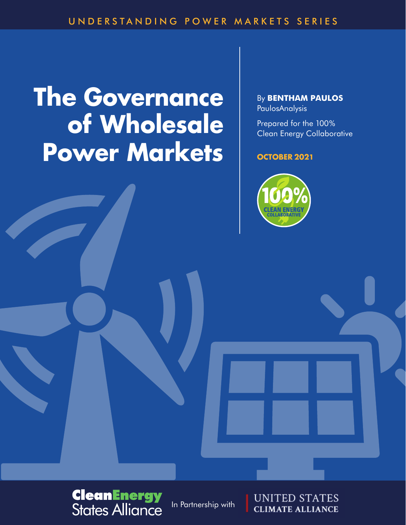# **The Governance of Wholesale Power Markets**

By **Bentham Paulos** PaulosAnalysis

Prepared for the 100% Clean Energy Collaborative

#### **OCTOBER 2021**





In Partnership with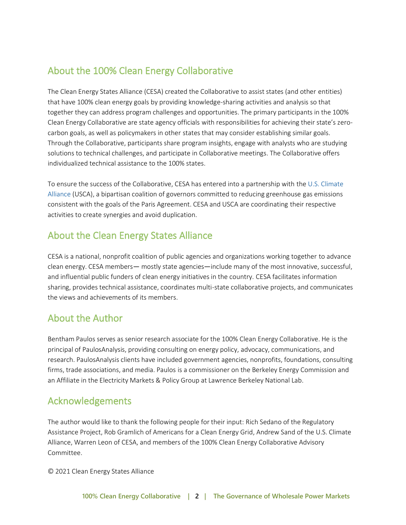### About the 100% Clean Energy Collaborative

The Clean Energy States Alliance (CESA) created the Collaborative to assist states (and other entities) that have 100% clean energy goals by providing knowledge-sharing activities and analysis so that together they can address program challenges and opportunities. The primary participants in the 100% Clean Energy Collaborative are state agency officials with responsibilities for achieving their state's zerocarbon goals, as well as policymakers in other states that may consider establishing similar goals. Through the Collaborative, participants share program insights, engage with analysts who are studying solutions to technical challenges, and participate in Collaborative meetings. The Collaborative offers individualized technical assistance to the 100% states.

To ensure the success of the Collaborative, CESA has entered into a partnership with the U.S. [Climate](http://www.usclimatealliance.org/)  [Alliance](http://www.usclimatealliance.org/) (USCA), a bipartisan coalition of governors committed to reducing greenhouse gas emissions consistent with the goals of the Paris Agreement. CESA and USCA are coordinating their respective activities to create synergies and avoid duplication.

### About the Clean Energy States Alliance

CESA is a national, nonprofit coalition of public agencies and organizations working together to advance clean energy. CESA members— mostly state agencies—include many of the most innovative, successful, and influential public funders of clean energy initiatives in the country. CESA facilitates information sharing, provides technical assistance, coordinates multi-state collaborative projects, and communicates the views and achievements of its members.

### About the Author

Bentham Paulos serves as senior research associate for the 100% Clean Energy Collaborative. He is the principal of PaulosAnalysis, providing consulting on energy policy, advocacy, communications, and research. PaulosAnalysis clients have included government agencies, nonprofits, foundations, consulting firms, trade associations, and media. Paulos is a commissioner on the Berkeley Energy Commission and an Affiliate in the Electricity Markets & Policy Group at Lawrence Berkeley National Lab.

### Acknowledgements

The author would like to thank the following people for their input: Rich Sedano of the Regulatory Assistance Project, Rob Gramlich of Americans for a Clean Energy Grid, Andrew Sand of the U.S. Climate Alliance, Warren Leon of CESA, and members of the 100% Clean Energy Collaborative Advisory Committee.

© 2021 Clean Energy States Alliance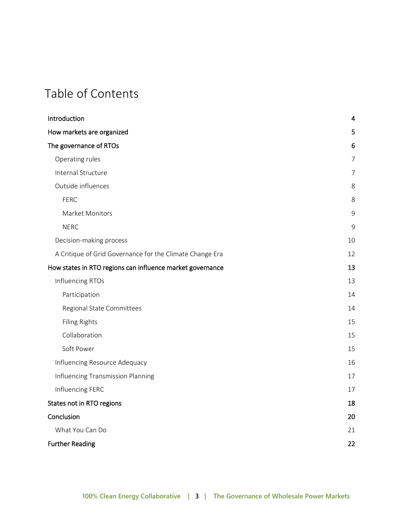# Table of Contents

| Introduction                                              | 4              |
|-----------------------------------------------------------|----------------|
| How markets are organized                                 | 5              |
| The governance of RTOs                                    | 6              |
| Operating rules                                           | $\overline{7}$ |
| Internal Structure                                        | 7              |
| Outside influences                                        | 8              |
| <b>FERC</b>                                               | 8              |
| Market Monitors                                           | 9              |
| <b>NERC</b>                                               | 9              |
| Decision-making process                                   | 10             |
| A Critique of Grid Governance for the Climate Change Era  | 12             |
| How states in RTO regions can influence market governance | 13             |
| Influencing RTOs                                          | 13             |
| Participation                                             | 14             |
| Regional State Committees                                 | 14             |
| Filing Rights                                             | 15             |
| Collaboration                                             | 15             |
| Soft Power                                                | 15             |
| Influencing Resource Adequacy                             | 16             |
| Influencing Transmission Planning                         | 17             |
| Influencing FERC                                          | 17             |
| States not in RTO regions                                 | 18             |
| Conclusion                                                | 20             |
| What You Can Do                                           | 21             |
| <b>Further Reading</b>                                    | 22             |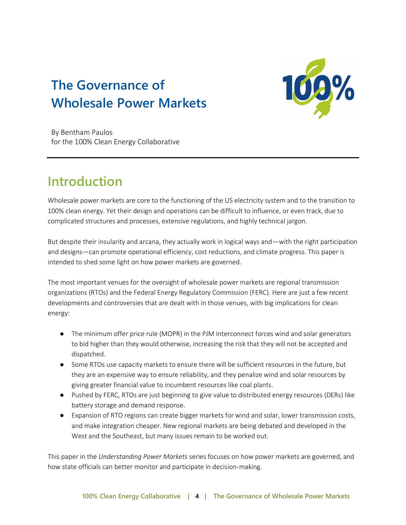# **The Governance of Wholesale Power Markets**



By Bentham Paulos for the 100% Clean Energy Collaborative

# <span id="page-3-0"></span>**Introduction**

Wholesale power markets are core to the functioning of the US electricity system and to the transition to 100% clean energy. Yet their design and operations can be difficult to influence, or even track, due to complicated structures and processes, extensive regulations, and highly technical jargon.

But despite their insularity and arcana, they actually work in logical ways and—with the right participation and designs—can promote operational efficiency, cost reductions, and climate progress. This paper is intended to shed some light on how power markets are governed.

The most important venues for the oversight of wholesale power markets are regional transmission organizations (RTOs) and the Federal Energy Regulatory Commission (FERC). Here are just a few recent developments and controversies that are dealt with in those venues, with big implications for clean energy:

- The minimum offer price rule (MOPR) in the PJM Interconnect forces wind and solar generators to bid higher than they would otherwise, increasing the risk that they will not be accepted and dispatched.
- Some RTOs use capacity markets to ensure there will be sufficient resources in the future, but they are an expensive way to ensure reliability, and they penalize wind and solar resources by giving greater financial value to incumbent resources like coal plants.
- Pushed by FERC, RTOs are just beginning to give value to distributed energy resources (DERs) like battery storage and demand response.
- Expansion of RTO regions can create bigger markets for wind and solar, lower transmission costs, and make integration cheaper. New regional markets are being debated and developed in the West and the Southeast, but many issues remain to be worked out.

This paper in the *Understanding Power Markets* series focuses on how power markets are governed, and how state officials can better monitor and participate in decision-making.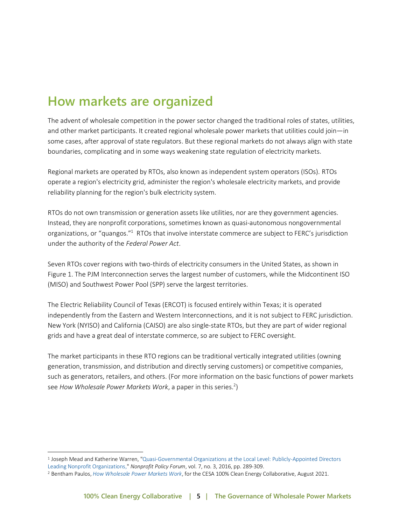# <span id="page-4-0"></span>**How markets are organized**

The advent of wholesale competition in the power sector changed the traditional roles of states, utilities, and other market participants. It created regional wholesale power markets that utilities could join—in some cases, after approval of state regulators. But these regional markets do not always align with state boundaries, complicating and in some ways weakening state regulation of electricity markets.

Regional markets are operated by RTOs, also known as independent system operators (ISOs). RTOs operate a region's electricity grid, administer the region's wholesale electricity markets, and provide reliability planning for the region's bulk electricity system.

RTOs do not own transmission or generation assets like utilities, nor are they government agencies. Instead, they are nonprofit corporations, sometimes known as quasi-autonomous nongovernmental organizations, or "quangos."<sup>1</sup> RTOs that involve interstate commerce are subject to FERC's jurisdiction under the authority of the *Federal Power Act*.

Seven RTOs cover regions with two-thirds of electricity consumers in the United States, as shown in Figure 1. The PJM Interconnection serves the largest number of customers, while the Midcontinent ISO (MISO) and Southwest Power Pool (SPP) serve the largest territories.

The Electric Reliability Council of Texas (ERCOT) is focused entirely within Texas; it is operated independently from the Eastern and Western Interconnections, and it is not subject to FERC jurisdiction. New York (NYISO) and California (CAISO) are also single-state RTOs, but they are part of wider regional grids and have a great deal of interstate commerce, so are subject to FERC oversight.

The market participants in these RTO regions can be traditional vertically integrated utilities (owning generation, transmission, and distribution and directly serving customers) or competitive companies, such as generators, retailers, and others. (For more information on the basic functions of power markets see How Wholesale Power Markets Work, a paper in this series.<sup>2</sup>)

<sup>1</sup> Joseph Mead and Katherine Warren, ["Quasi-Governmental Organizations at the Local Level: Publicly-Appointed Directors](https://doi.org/10.1515/npf-2014-0044)  [Leading Nonprofit Organizations,](https://doi.org/10.1515/npf-2014-0044)" *Nonprofit Policy Forum*, vol. 7, no. 3, 2016, pp. 289-309.

<sup>2</sup> Bentham Paulos, *[How Wholesale Power Markets Work](https://www.cesa.org/resource-library/resource/how-wholesale-power-markets-work/)*, for the CESA 100% Clean Energy Collaborative, August 2021.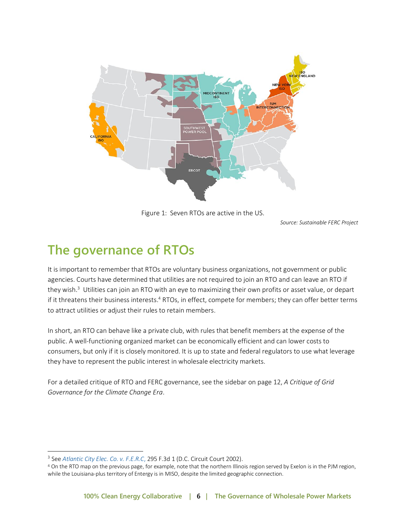

Figure 1: Seven RTOs are active in the US.

*Source: Sustainable FERC Project*

# <span id="page-5-0"></span>**The governance of RTOs**

It is important to remember that RTOs are voluntary business organizations, not government or public agencies. Courts have determined that utilities are not required to join an RTO and can leave an RTO if they wish.<sup>3</sup> Utilities can join an RTO with an eye to maximizing their own profits or asset value, or depart if it threatens their business interests.<sup>4</sup> RTOs, in effect, compete for members; they can offer better terms to attract utilities or adjust their rules to retain members.

In short, an RTO can behave like a private club, with rules that benefit members at the expense of the public. A well-functioning organized market can be economically efficient and can lower costs to consumers, but only if it is closely monitored. It is up to state and federal regulators to use what leverage they have to represent the public interest in wholesale electricity markets.

For a detailed critique of RTO and FERC governance, see the sidebar on page 12, *A Critique of Grid Governance for the Climate Change Era*.

<sup>3</sup> See *[Atlantic City Elec. Co. v. F.E.R.C](https://casetext.com/case/atlantic-city-elec-co-v-ferc-2)*, 295 F.3d 1 (D.C. Circuit Court 2002).

<sup>4</sup> On the RTO map on the previous page, for example, note that the northern Illinois region served by Exelon is in the PJM region, while the Louisiana-plus territory of Entergy is in MISO, despite the limited geographic connection.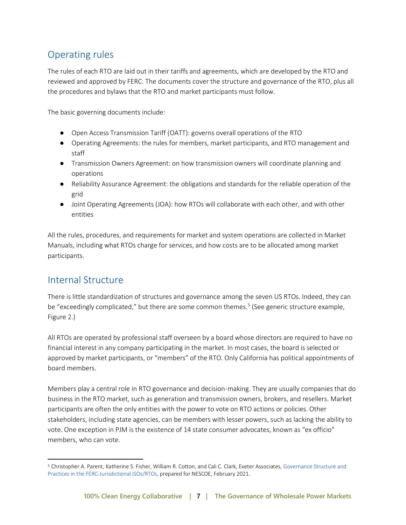### <span id="page-6-0"></span>Operating rules

The rules of each RTO are laid out in their tariffs and agreements, which are developed by the RTO and reviewed and approved by FERC. The documents cover the structure and governance of the RTO, plus all the procedures and bylaws that the RTO and market participants must follow.

The basic governing documents include:

- Open Access Transmission Tariff (OATT): governs overall operations of the RTO
- Operating Agreements: the rules for members, market participants, and RTO management and staff
- Transmission Owners Agreement: on how transmission owners will coordinate planning and operations
- Reliability Assurance Agreement: the obligations and standards for the reliable operation of the grid
- Joint Operating Agreements (JOA): how RTOs will collaborate with each other, and with other entities

All the rules, procedures, and requirements for market and system operations are collected in Market Manuals, including what RTOs charge for services, and how costs are to be allocated among market participants.

#### <span id="page-6-1"></span>Internal Structure

There is little standardization of structures and governance among the seven US RTOs. Indeed, they can be "exceedingly complicated," but there are some common themes.<sup>5</sup> (See generic structure example, Figure 2.)

All RTOs are operated by professional staff overseen by a board whose directors are required to have no financial interest in any company participating in the market. In most cases, the board is selected or approved by market participants, or "members" of the RTO. Only California has political appointments of board members.

Members play a central role in RTO governance and decision-making. They are usually companies that do business in the RTO market, such as generation and transmission owners, brokers, and resellers. Market participants are often the only entities with the power to vote on RTO actions or policies. Other stakeholders, including state agencies, can be members with lesser powers, such as lacking the ability to vote. One exception in PJM is the existence of 14 state consumer advocates, known as "ex officio" members, who can vote.

<sup>5</sup> Christopher A. Parent, Katherine S. Fisher, William R. Cotton, and Cali C. Clark, Exeter Associates[, Governance Structure and](https://yq5v214uei4489eww27gbgsu-wpengine.netdna-ssl.com/wp-content/uploads/2021/02/ISO-RTOGovernanceStructureandPractices_19Feb2021.pdf) [Practices in the FERC-Jurisdictional ISOs/RTOs,](https://yq5v214uei4489eww27gbgsu-wpengine.netdna-ssl.com/wp-content/uploads/2021/02/ISO-RTOGovernanceStructureandPractices_19Feb2021.pdf) prepared for NESCOE, February 2021.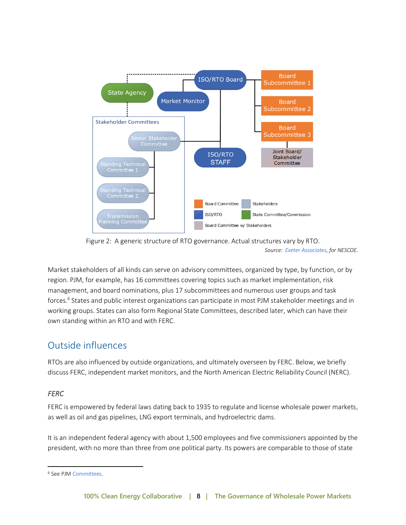

Figure 2: A generic structure of RTO governance. Actual structures vary by RTO. *Source: [Exeter Associates,](https://nescoe.com/resource-center/isorto-governance-feb2021/) for NESCOE.*

Market stakeholders of all kinds can serve on advisory committees, organized by type, by function, or by region. PJM, for example, has 16 committees covering topics such as market implementation, risk management, and board nominations, plus 17 subcommittees and numerous user groups and task forces.<sup>6</sup> States and public interest organizations can participate in most PJM stakeholder meetings and in working groups. States can also form Regional State Committees, described later, which can have their own standing within an RTO and with FERC.

### <span id="page-7-0"></span>Outside influences

RTOs are also influenced by outside organizations, and ultimately overseen by FERC. Below, we briefly discuss FERC, independent market monitors, and the North American Electric Reliability Council (NERC).

#### <span id="page-7-1"></span>*FERC*

FERC is empowered by federal laws dating back to 1935 to regulate and license wholesale power markets, as well as oil and gas pipelines, LNG export terminals, and hydroelectric dams.

It is an independent federal agency with about 1,500 employees and five commissioners appointed by the president, with no more than three from one political party. Its powers are comparable to those of state

<sup>6</sup> See PJ[M Committees.](https://www.pjm.com/committees-and-groups/committees)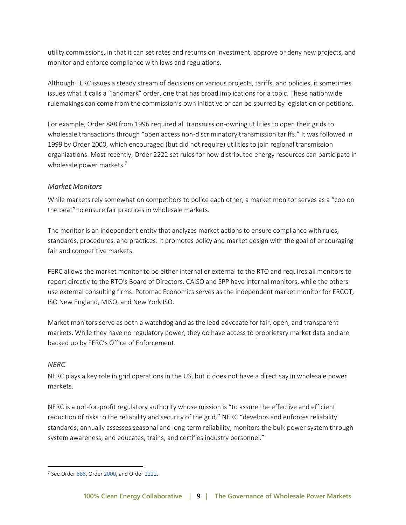utility commissions, in that it can set rates and returns on investment, approve or deny new projects, and monitor and enforce compliance with laws and regulations.

Although FERC issues a steady stream of decisions on various projects, tariffs, and policies, it sometimes issues what it calls a "landmark" order, one that has broad implications for a topic. These nationwide rulemakings can come from the commission's own initiative or can be spurred by legislation or petitions.

For example, Order 888 from 1996 required all transmission-owning utilities to open their grids to wholesale transactions through "open access non-discriminatory transmission tariffs." It was followed in 1999 by Order 2000, which encouraged (but did not require) utilities to join regional transmission organizations. Most recently, Order 2222 set rules for how distributed energy resources can participate in wholesale power markets.<sup>7</sup>

#### <span id="page-8-0"></span>*Market Monitors*

While markets rely somewhat on competitors to police each other, a market monitor serves as a "cop on the beat" to ensure fair practices in wholesale markets.

The monitor is an independent entity that analyzes market actions to ensure compliance with rules, standards, procedures, and practices. It promotes policy and market design with the goal of encouraging fair and competitive markets.

FERC allows the market monitor to be either internal or external to the RTO and requires all monitors to report directly to the RTO's Board of Directors. CAISO and SPP have internal monitors, while the others use external consulting firms. Potomac Economics serves as the independent market monitor for ERCOT, ISO New England, MISO, and New York ISO.

Market monitors serve as both a watchdog and as the lead advocate for fair, open, and transparent markets. While they have no regulatory power, they do have access to proprietary market data and are backed up by FERC's Office of Enforcement.

#### <span id="page-8-1"></span>*NERC*

NERC plays a key role in grid operations in the US, but it does not have a direct say in wholesale power markets.

NERC is a not-for-profit regulatory authority whose mission is "to assure the effective and efficient reduction of risks to the reliability and security of the grid." NERC "develops and enforces reliability standards; annually assesses seasonal and long‐term reliability; monitors the bulk power system through system awareness; and educates, trains, and certifies industry personnel."

<sup>7</sup> See Orde[r 888,](https://www.ferc.gov/industries-data/electric/industry-activities/open-access-transmission-tariff-oatt-reform/history-oatt-reform/order-no-888) Orde[r 2000,](https://www.utilitydive.com/news/happy-birthday-and-thank-you-o2k-thats-order-2000/569134/) and Orde[r 2222.](https://www.ferc.gov/news-events/news/ferc-opens-wholesale-markets-distributed-resources-landmark-action-breaks-down)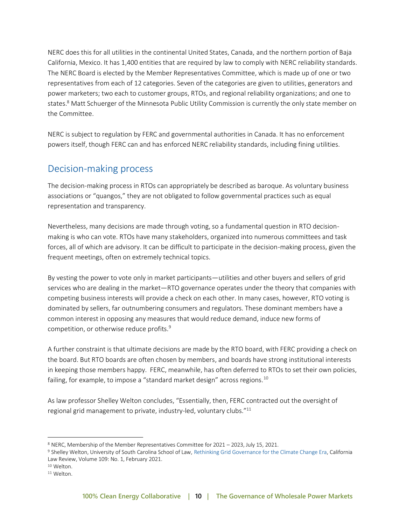NERC does this for all utilities in the continental United States, Canada, and the northern portion of Baja California, Mexico. It has 1,400 entities that are required by law to comply with NERC reliability standards. The NERC Board is elected by the Member Representatives Committee, which is made up of one or two representatives from each of 12 categories. Seven of the categories are given to utilities, generators and power marketers; two each to customer groups, RTOs, and regional reliability organizations; and one to states.<sup>8</sup> Matt Schuerger of the Minnesota Public Utility Commission is currently the only state member on the Committee.

NERC is subject to regulation by FERC and governmental authorities in Canada. It has no enforcement powers itself, though FERC can and has enforced NERC reliability standards, including fining utilities.

#### <span id="page-9-0"></span>Decision-making process

The decision-making process in RTOs can appropriately be described as baroque. As voluntary business associations or "quangos," they are not obligated to follow governmental practices such as equal representation and transparency.

Nevertheless, many decisions are made through voting, so a fundamental question in RTO decisionmaking is who can vote. RTOs have many stakeholders, organized into numerous committees and task forces, all of which are advisory. It can be difficult to participate in the decision-making process, given the frequent meetings, often on extremely technical topics.

By vesting the power to vote only in market participants—utilities and other buyers and sellers of grid services who are dealing in the market—RTO governance operates under the theory that companies with competing business interests will provide a check on each other. In many cases, however, RTO voting is dominated by sellers, far outnumbering consumers and regulators. These dominant members have a common interest in opposing any measures that would reduce demand, induce new forms of competition, or otherwise reduce profits.<sup>9</sup>

A further constraint is that ultimate decisions are made by the RTO board, with FERC providing a check on the board. But RTO boards are often chosen by members, and boards have strong institutional interests in keeping those members happy. FERC, meanwhile, has often deferred to RTOs to set their own policies, failing, for example, to impose a "standard market design" across regions.<sup>10</sup>

As law professor Shelley Welton concludes, "Essentially, then, FERC contracted out the oversight of regional grid management to private, industry-led, voluntary clubs."<sup>11</sup>

<sup>8</sup> NERC[, Membership of the Member Representatives Committee for 2021](https://www.nerc.com/gov/bot/MRC/Pages/default.aspx) – 2023, July 15, 2021.

<sup>9</sup> Shelley Welton, University of South Carolina School of Law[, Rethinking Grid Governance for the Climate Change Era,](https://www.californialawreview.org/print/rethinking-grid-governance/) California Law Review, Volume 109: No. 1, February 2021.

<sup>10</sup> Welton.

<sup>11</sup> Welton.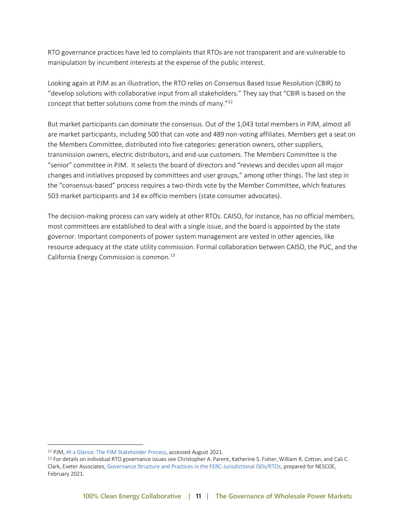RTO governance practices have led to complaints that RTOs are not transparent and are vulnerable to manipulation by incumbent interests at the expense of the public interest.

Looking again at PJM as an illustration, the RTO relies on Consensus Based Issue Resolution (CBIR) to "develop solutions with collaborative input from all stakeholders." They say that "CBIR is based on the concept that better solutions come from the minds of many."<sup>12</sup>

But market participants can dominate the consensus. Out of the 1,043 total members in PJM, almost all are market participants, including 500 that can vote and 489 non-voting affiliates. Members get a seat on the Members Committee, distributed into five categories: generation owners, other suppliers, transmission owners, electric distributors, and end-use customers. The Members Committee is the "senior" committee in PJM. It selects the board of directors and "reviews and decides upon all major changes and initiatives proposed by committees and user groups," among other things. The last step in the "consensus-based" process requires a two-thirds vote by the Member Committee, which features 503 market participants and 14 ex officio members (state consumer advocates).

The decision-making process can vary widely at other RTOs. CAISO, for instance, has no official members, most committees are established to deal with a single issue, and the board is appointed by the state governor. Important components of power system management are vested in other agencies, like resource adequacy at the state utility commission. Formal collaboration between CAISO, the PUC, and the California Energy Commission is common.<sup>13</sup>

<sup>12</sup> PJM[, At a Glance: The PJM Stakeholder Process,](https://www.pjm.com/-/media/committees-groups/stakeholder-process-templates/stakeholder-process-quick-guide.ashx) accessed August 2021.

<sup>13</sup> For details on individual RTO governance issues see Christopher A. Parent, Katherine S. Fisher, William R. Cotton, and Cali C. Clark, Exeter Associates[, Governance Structure and Practices in the FERC-Jurisdictional ISOs/RTOs,](https://yq5v214uei4489eww27gbgsu-wpengine.netdna-ssl.com/wp-content/uploads/2021/02/ISO-RTOGovernanceStructureandPractices_19Feb2021.pdf) prepared for NESCOE, February 2021.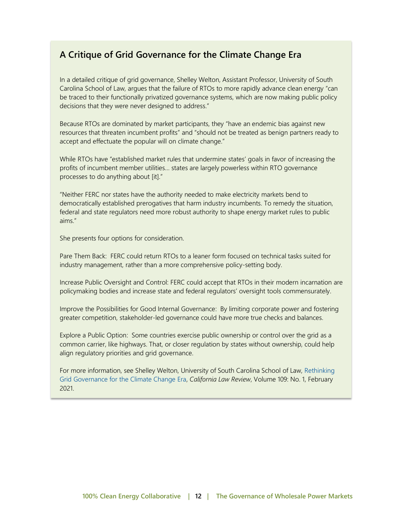#### <span id="page-11-0"></span>**A Critique of Grid Governance for the Climate Change Era**

In a detailed critique of grid governance, Shelley Welton, Assistant Professor, University of South Carolina School of Law, argues that the failure of RTOs to more rapidly advance clean energy "can be traced to their functionally privatized governance systems, which are now making public policy decisions that they were never designed to address."

Because RTOs are dominated by market participants, they "have an endemic bias against new resources that threaten incumbent profits" and "should not be treated as benign partners ready to accept and effectuate the popular will on climate change."

While RTOs have "established market rules that undermine states' goals in favor of increasing the profits of incumbent member utilities… states are largely powerless within RTO governance processes to do anything about [it]."

"Neither FERC nor states have the authority needed to make electricity markets bend to democratically established prerogatives that harm industry incumbents. To remedy the situation, federal and state regulators need more robust authority to shape energy market rules to public aims."

She presents four options for consideration.

Pare Them Back: FERC could return RTOs to a leaner form focused on technical tasks suited for industry management, rather than a more comprehensive policy-setting body.

Increase Public Oversight and Control: FERC could accept that RTOs in their modern incarnation are policymaking bodies and increase state and federal regulators' oversight tools commensurately.

Improve the Possibilities for Good Internal Governance: By limiting corporate power and fostering greater competition, stakeholder-led governance could have more true checks and balances.

Explore a Public Option: Some countries exercise public ownership or control over the grid as a common carrier, like highways. That, or closer regulation by states without ownership, could help align regulatory priorities and grid governance.

For more information, see Shelley Welton, University of South Carolina School of Law, [Rethinking](https://www.californialawreview.org/print/rethinking-grid-governance/)  [Grid Governance for the Climate Change Era,](https://www.californialawreview.org/print/rethinking-grid-governance/) *California Law Review*, Volume 109: No. 1, February 2021.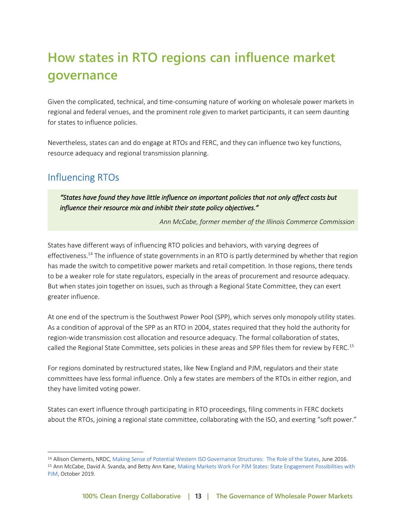# <span id="page-12-0"></span>**How states in RTO regions can influence market governance**

Given the complicated, technical, and time-consuming nature of working on wholesale power markets in regional and federal venues, and the prominent role given to market participants, it can seem daunting for states to influence policies.

Nevertheless, states can and do engage at RTOs and FERC, and they can influence two key functions, resource adequacy and regional transmission planning.

### <span id="page-12-1"></span>Influencing RTOs

*"States have found they have little influence on important policies that not only affect costs but influence their resource mix and inhibit their state policy objectives."* 

*Ann McCabe, former member of the Illinois Commerce Commission*

States have different ways of influencing RTO policies and behaviors, with varying degrees of effectiveness.<sup>14</sup> The influence of state governments in an RTO is partly determined by whether that region has made the switch to competitive power markets and retail competition. In those regions, there tends to be a weaker role for state regulators, especially in the areas of procurement and resource adequacy. But when states join together on issues, such as through a Regional State Committee, they can exert greater influence.

At one end of the spectrum is the Southwest Power Pool (SPP), which serves only monopoly utility states. As a condition of approval of the SPP as an RTO in 2004, states required that they hold the authority for region-wide transmission cost allocation and resource adequacy. The formal collaboration of states, called the Regional State Committee, sets policies in these areas and SPP files them for review by FERC.<sup>15</sup>

For regions dominated by restructured states, like New England and PJM, regulators and their state committees have less formal influence. Only a few states are members of the RTOs in either region, and they have limited voting power.

States can exert influence through participating in RTO proceedings, filing comments in FERC dockets about the RTOs, joining a regional state committee, collaborating with the ISO, and exerting "soft power."

<sup>14</sup> Allison Clements, NRDC[, Making Sense of Potential Western ISO Governance Structures: The Role of the States,](https://www.nrdc.org/sites/default/files/potential-western-iso-governance-structures-ib.pdf) June 2016.

<sup>15</sup> Ann McCabe, David A. Svanda, and Betty Ann Kane, Making Markets Work For PJM States: State Engagement Possibilities with [PJM,](https://opsi.us/wp-content/uploads/2019/10/Making-Markets-Work-for-PJM-States-10-14-19-1.pdf) October 2019.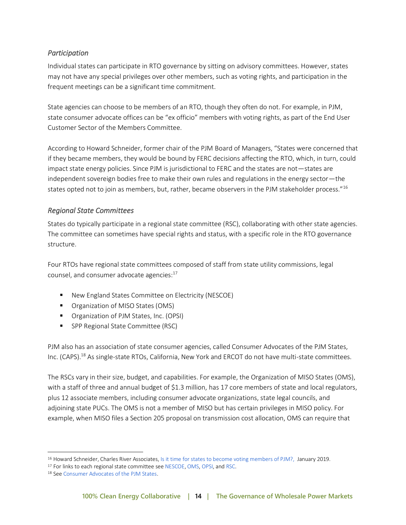#### <span id="page-13-0"></span>*Participation*

Individual states can participate in RTO governance by sitting on advisory committees. However, states may not have any special privileges over other members, such as voting rights, and participation in the frequent meetings can be a significant time commitment.

State agencies can choose to be members of an RTO, though they often do not. For example, in PJM, state consumer advocate offices can be "ex officio" members with voting rights, as part of the End User Customer Sector of the Members Committee.

According to Howard Schneider, former chair of the PJM Board of Managers, "States were concerned that if they became members, they would be bound by FERC decisions affecting the RTO, which, in turn, could impact state energy policies. Since PJM is jurisdictional to FERC and the states are not—states are independent sovereign bodies free to make their own rules and regulations in the energy sector—the states opted not to join as members, but, rather, became observers in the PJM stakeholder process."<sup>16</sup>

#### <span id="page-13-1"></span>*Regional State Committees*

States do typically participate in a regional state committee (RSC), collaborating with other state agencies. The committee can sometimes have special rights and status, with a specific role in the RTO governance structure.

Four RTOs have regional state committees composed of staff from state utility commissions, legal counsel, and consumer advocate agencies:<sup>17</sup>

- New England States Committee on Electricity (NESCOE)
- Organization of MISO States (OMS)
- Organization of PJM States, Inc. (OPSI)
- SPP Regional State Committee (RSC)

PJM also has an association of state consumer agencies, called Consumer Advocates of the PJM States, Inc. (CAPS).<sup>18</sup> As single-state RTOs, California, New York and ERCOT do not have multi-state committees.

The RSCs vary in their size, budget, and capabilities. For example, the Organization of MISO States (OMS), with a staff of three and annual budget of \$1.3 million, has 17 core members of state and local regulators, plus 12 associate members, including consumer advocate organizations, state legal councils, and adjoining state PUCs. The OMS is not a member of MISO but has certain privileges in MISO policy. For example, when MISO files a Section 205 proposal on transmission cost allocation, OMS can require that

<sup>16</sup> Howard Schneider, Charles River Associates[, Is it time for states to become voting members of PJM?,](https://media.crai.com/sites/default/files/publications/PJM%20membership%20-%20Jan-2019.pdf) January 2019.

<sup>&</sup>lt;sup>17</sup> For links to each regional state committee se[e NESCOE,](https://nescoe.com/) [OMS,](https://www.misostates.org/) [OPSI,](https://opsi.us/) an[d RSC.](https://spp.org/stakeholder-groups/organizational-groups/regional-state-committee/)

<sup>18</sup> Se[e Consumer Advocates of the PJM States.](http://pjm-advocates.org/)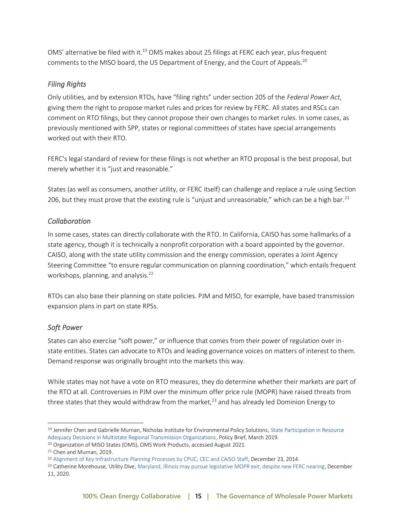OMS' alternative be filed with it.<sup>19</sup> OMS makes about 25 filings at FERC each year, plus frequent comments to the MISO board, the US Department of Energy, and the Court of Appeals.<sup>20</sup>

#### <span id="page-14-0"></span>*Filing Rights*

Only utilities, and by extension RTOs, have "filing rights" under section 205 of the *Federal Power Act*, giving them the right to propose market rules and prices for review by FERC. All states and RSCs can comment on RTO filings, but they cannot propose their own changes to market rules. In some cases, as previously mentioned with SPP, states or regional committees of states have special arrangements worked out with their RTO.

FERC's legal standard of review for these filings is not whether an RTO proposal is the best proposal, but merely whether it is "just and reasonable."

States (as well as consumers, another utility, or FERC itself) can challenge and replace a rule using Section 206, but they must prove that the existing rule is "unjust and unreasonable," which can be a high bar. $^{21}$ 

#### <span id="page-14-1"></span>*Collaboration*

In some cases, states can directly collaborate with the RTO. In California, CAISO has some hallmarks of a state agency, though it is technically a nonprofit corporation with a board appointed by the governor. CAISO, along with the state utility commission and the energy commission, operates a Joint Agency Steering Committee "to ensure regular communication on planning coordination," which entails frequent workshops, planning, and analysis.<sup>22</sup>

RTOs can also base their planning on state policies. PJM and MISO, for example, have based transmission expansion plans in part on state RPSs.

#### <span id="page-14-2"></span>*Soft Power*

States can also exercise "soft power," or influence that comes from their power of regulation over instate entities. States can advocate to RTOs and leading governance voices on matters of interest to them. Demand response was originally brought into the markets this way.

While states may not have a vote on RTO measures, they do determine whether their markets are part of the RTO at all. Controversies in PJM over the minimum offer price rule (MOPR) have raised threats from three states that they would withdraw from the market, $^{23}$  and has already led Dominion Energy to

<sup>&</sup>lt;sup>19</sup> Jennifer Chen and Gabrielle Murnan, Nicholas Institute for Environmental Policy Solutions, State Participation in Resource [Adequacy Decisions in Multistate Regional Transmission Organizations,](https://nicholasinstitute.duke.edu/sites/default/files/publications/print/state_participation_in_resource_adequacy_decisions_print.pdf) Policy Brief, March 2019.

<sup>&</sup>lt;sup>20</sup> Organization of MISO States (OMS)[, OMS Work Products,](https://www.misostates.org/index.php/work-products) accessed August 2021.

<sup>21</sup> Chen and Murnan, 2019.

<sup>22</sup> [Alignment of Key Infrastructure Planning Processes by CPUC, CEC and CAISO Staff,](http://www.caiso.com/documents/tpp-ltpp-iepr_alignmentexplanatorytext.pdf) December 23, 2014.

<sup>&</sup>lt;sup>23</sup> Catherine Morehouse, Utility Dive[, Maryland, Illinois may pursue legislative MOPR exit, despite new FERC nearing,](https://www.utilitydive.com/news/maryland-illinois-may-pursue-legislative-mopr-exit-despite-new-ferc-neari/592020/) December 11, 2020.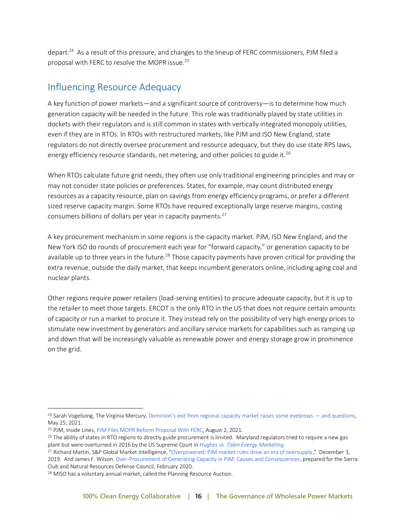depart.<sup>24</sup> As a result of this pressure, and changes to the lineup of FERC commissioners, PJM filed a proposal with FERC to resolve the MOPR issue.<sup>25</sup>

#### <span id="page-15-0"></span>Influencing Resource Adequacy

A key function of power markets—and a significant source of controversy—is to determine how much generation capacity will be needed in the future. This role was traditionally played by state utilities in dockets with their regulators and is still common in states with vertically integrated monopoly utilities, even if they are in RTOs. In RTOs with restructured markets, like PJM and ISO New England, state regulators do not directly oversee procurement and resource adequacy, but they do use state RPS laws, energy efficiency resource standards, net metering, and other policies to guide it.<sup>26</sup>

When RTOs calculate future grid needs, they often use only traditional engineering principles and may or may not consider state policies or preferences. States, for example, may count distributed energy resources as a capacity resource, plan on savings from energy efficiency programs, or prefer a different sized reserve capacity margin. Some RTOs have required exceptionally large reserve margins, costing consumers billions of dollars per year in capacity payments.<sup>27</sup>

A key procurement mechanism in some regions is the capacity market. PJM, ISO New England, and the New York ISO do rounds of procurement each year for "forward capacity," or generation capacity to be available up to three years in the future.<sup>28</sup> Those capacity payments have proven critical for providing the extra revenue, outside the daily market, that keeps incumbent generators online, including aging coal and nuclear plants.

Other regions require power retailers (load-serving entities) to procure adequate capacity, but it is up to the retailer to meet those targets. ERCOT is the only RTO in the US that does not require certain amounts of capacity or run a market to procure it. They instead rely on the possibility of very high energy prices to stimulate new investment by generators and ancillary service markets for capabilities such as ramping up and down that will be increasingly valuable as renewable power and energy storage grow in prominence on the grid.

<sup>&</sup>lt;sup>24</sup> Sarah Vogelsong, The Virginia Mercury, [Dominion's exit from regional capacity market raises some eyebrows —](https://www.utilitydive.com/news/maryland-illinois-may-pursue-legislative-mopr-exit-despite-new-ferc-neari/592020/) and questions, May 25, 2021.

<sup>25</sup> PJM, Inside Lines[, PJM Files MOPR Reform Proposal With FERC,](https://insidelines.pjm.com/pjm-files-mopr-reform-proposal-with-ferc/) August 2, 2021.

<sup>&</sup>lt;sup>26</sup> The ability of states in RTO regions to directly guide procurement is limited. Maryland regulators tried to require a new gas plant but were overturned in 2016 by the US Supreme Court in *[Hughes vs. Talen Energy Marketing](https://www.supremecourt.gov/opinions/15pdf/14-614_k5fm.pdf)*.

<sup>&</sup>lt;sup>27</sup> Richard Martin, S&P Global Market Intelligence, "[Overpowered: PJM market rules drive an era of oversupply](https://www.spglobal.com/marketintelligence/en/news-insights/latest-news-headlines/overpowered-pjm-market-rules-drive-an-era-of-oversupply-54111666)," December 3, 2019. And James F. Wilson[, Over-Procurement of Generating Capacity in PJM: Causes and Consequences,](https://www.sierraclub.org/sites/www.sierraclub.org/files/blog/Wilson%20Overprocurement%20of%20Capacity%20in%20PJM.PDF) prepared for the Sierra Club and Natural Resources Defense Council, February 2020.

<sup>28</sup> MISO has a voluntary annual market, called the Planning Resource Auction.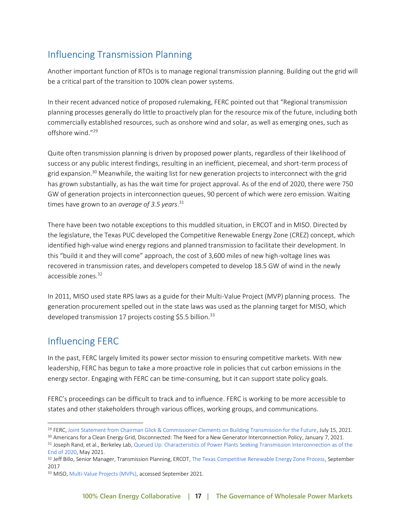### <span id="page-16-0"></span>Influencing Transmission Planning

Another important function of RTOs is to manage regional transmission planning. Building out the grid will be a critical part of the transition to 100% clean power systems.

In their recent advanced notice of proposed rulemaking, FERC pointed out that "Regional transmission planning processes generally do little to proactively plan for the resource mix of the future, including both commercially established resources, such as onshore wind and solar, as well as emerging ones, such as offshore wind."<sup>29</sup>

Quite often transmission planning is driven by proposed power plants, regardless of their likelihood of success or any public interest findings, resulting in an inefficient, piecemeal, and short-term process of grid expansion.<sup>30</sup> Meanwhile, the waiting list for new generation projects to interconnect with the grid has grown substantially, as has the wait time for project approval. As of the end of 2020, there were 750 GW of generation projects in interconnection queues, 90 percent of which were zero emission. Waiting times have grown to an *average of 3.5 years*. 31

There have been two notable exceptions to this muddled situation, in ERCOT and in MISO. Directed by the legislature, the Texas PUC developed the Competitive Renewable Energy Zone (CREZ) concept, which identified high-value wind energy regions and planned transmission to facilitate their development. In this "build it and they will come" approach, the cost of 3,600 miles of new high-voltage lines was recovered in transmission rates, and developers competed to develop 18.5 GW of wind in the newly accessible zones.<sup>32</sup>

In 2011, MISO used state RPS laws as a guide for their Multi-Value Project (MVP) planning process. The generation procurement spelled out in the state laws was used as the planning target for MISO, which developed transmission 17 projects costing \$5.5 billion.<sup>33</sup>

### <span id="page-16-1"></span>Influencing FERC

In the past, FERC largely limited its power sector mission to ensuring competitive markets. With new leadership, FERC has begun to take a more proactive role in policies that cut carbon emissions in the energy sector. Engaging with FERC can be time-consuming, but it can support state policy goals.

FERC's proceedings can be difficult to track and to influence. FERC is working to be more accessible to states and other stakeholders through various offices, working groups, and communications.

<sup>29</sup> FERC[, Joint Statement from Chairman Glick & Commissioner Clements on Building Transmission for the Future,](https://www.ferc.gov/news-events/news/joint-statement-chairman-glick-commissioner-clements-building-transmission-future) July 15, 2021.

<sup>&</sup>lt;sup>30</sup> Americans for a Clean Energy Grid[, Disconnected: The Need for a New Generator Interconnection Policy,](https://cleanenergygrid.org/disconnected-the-need-for-new-interconnection-policy/) January 7, 2021.

<sup>31</sup> Joseph Rand, et al., Berkeley Lab[, Queued Up: Characteristics of Power Plants Seeking Transmission Interconnection as](https://emp.lbl.gov/publications/queued-characteristics-power-plants) of the [End of 2020,](https://emp.lbl.gov/publications/queued-characteristics-power-plants) May 2021.

<sup>32</sup> Jeff Billo, Senior Manager, Transmission Planning, ERCOT[, The Texas Competitive Renewable Energy Zone Process,](https://cleanenergysolutions.org/sites/default/files/documents/jeff-billo_webinar-ercot-crez-process.pdf) September 2017

<sup>33</sup> MISO[, Multi-Value Projects \(MVPs\),](https://www.misoenergy.org/planning/planning/multi-value-projects-mvps/#nt=%2Fmultivalueprojecttype%3AMVP%20Analysis%20Reports&t=10&p=0&s=FileName&sd=desc) accessed September 2021.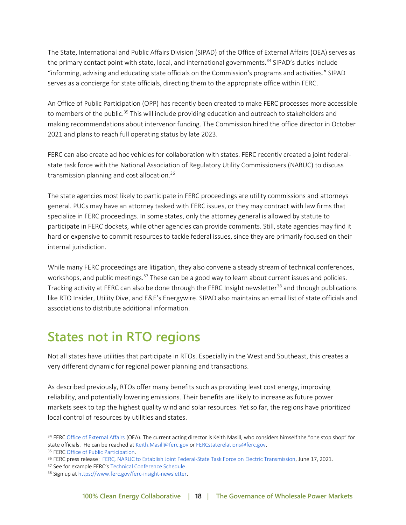The State, International and Public Affairs Division (SIPAD) of the Office of External Affairs (OEA) serves as the primary contact point with state, local, and international governments.<sup>34</sup> SIPAD's duties include "informing, advising and educating state officials on the Commission's programs and activities." SIPAD serves as a concierge for state officials, directing them to the appropriate office within FERC.

An Office of Public Participation (OPP) has recently been created to make FERC processes more accessible to members of the public.<sup>35</sup> This will include providing education and outreach to stakeholders and making recommendations about intervenor funding. The Commission hired the office director in October 2021 and plans to reach full operating status by late 2023.

FERC can also create ad hoc vehicles for collaboration with states. FERC recently created a joint federalstate task force with the National Association of Regulatory Utility Commissioners (NARUC) to discuss transmission planning and cost allocation.<sup>36</sup>

The state agencies most likely to participate in FERC proceedings are utility commissions and attorneys general. PUCs may have an attorney tasked with FERC issues, or they may contract with law firms that specialize in FERC proceedings. In some states, only the attorney general is allowed by statute to participate in FERC dockets, while other agencies can provide comments. Still, state agencies may find it hard or expensive to commit resources to tackle federal issues, since they are primarily focused on their internal jurisdiction.

While many FERC proceedings are litigation, they also convene a steady stream of technical conferences, workshops, and public meetings.<sup>37</sup> These can be a good way to learn about current issues and policies. Tracking activity at FERC can also be done through the FERC Insight newsletter<sup>38</sup> and through publications like RTO Insider, Utility Dive, and E&E's Energywire. SIPAD also maintains an email list of state officials and associations to distribute additional information.

## <span id="page-17-0"></span>**States not in RTO regions**

Not all states have utilities that participate in RTOs. Especially in the West and Southeast, this creates a very different dynamic for regional power planning and transactions.

As described previously, RTOs offer many benefits such as providing least cost energy, improving reliability, and potentially lowering emissions. Their benefits are likely to increase as future power markets seek to tap the highest quality wind and solar resources. Yet so far, the regions have prioritized local control of resources by utilities and states.

<sup>34</sup> FER[C Office of External Affairs](https://www.ferc.gov/office-external-affairs-oea) (OEA). The current acting director is Keith Masill, who considers himself the "one stop shop" for state officials. He can be reached a[t Keith.Masill@ferc.gov](mailto:Keith.masill@ferc.gov) o[r FERCstaterelations@ferc.gov.](mailto:fercstaterelations@ferc.gov)

<sup>35</sup> FER[C Office of Public Participation.](https://www.ferc.gov/OPP)

<sup>36</sup> FERC press release: [FERC, NARUC to Establish Joint Federal-State Task Force on Electric Transmission,](https://www.ferc.gov/news-events/news/ferc-naruc-establish-joint-federal-state-task-force-electric-transmission) June 17, 2021.

<sup>37</sup> See for example FERC's [Technical Conference Schedule.](https://www.ferc.gov/technical-conference-schedule-2021)

<sup>38</sup> Sign up a[t https://www.ferc.gov/ferc-insight-newsletter.](https://www.ferc.gov/ferc-insight-newsletter)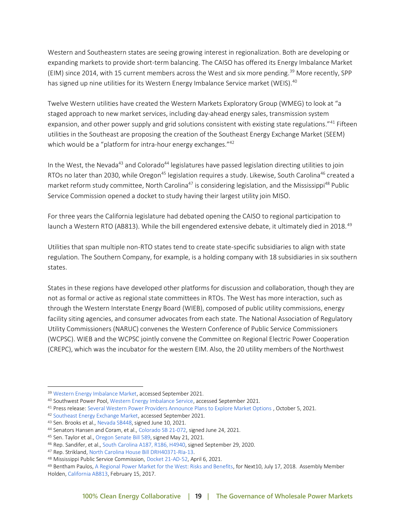Western and Southeastern states are seeing growing interest in regionalization. Both are developing or expanding markets to provide short-term balancing. The CAISO has offered its Energy Imbalance Market (EIM) since 2014, with 15 current members across the West and six more pending.<sup>39</sup> More recently, SPP has signed up nine utilities for its Western Energy Imbalance Service market (WEIS).<sup>40</sup>

Twelve Western utilities have created the Western Markets Exploratory Group (WMEG) to look at "a staged approach to new market services, including day-ahead energy sales, transmission system expansion, and other power supply and grid solutions consistent with existing state regulations."<sup>41</sup> Fifteen utilities in the Southeast are proposing the creation of the Southeast Energy Exchange Market (SEEM) which would be a "platform for intra-hour energy exchanges."<sup>42</sup>

In the West, the Nevada<sup>43</sup> and Colorado<sup>44</sup> legislatures have passed legislation directing utilities to join RTOs no later than 2030, while Oregon<sup>45</sup> legislation requires a study. Likewise, South Carolina<sup>46</sup> created a market reform study committee, North Carolina<sup>47</sup> is considering legislation, and the Mississippi<sup>48</sup> Public Service Commission opened a docket to study having their largest utility join MISO.

For three years the California legislature had debated opening the CAISO to regional participation to launch a Western RTO (AB813). While the bill engendered extensive debate, it ultimately died in 2018.<sup>49</sup>

Utilities that span multiple non-RTO states tend to create state-specific subsidiaries to align with state regulation. The Southern Company, for example, is a holding company with 18 subsidiaries in six southern states.

States in these regions have developed other platforms for discussion and collaboration, though they are not as formal or active as regional state committees in RTOs. The West has more interaction, such as through the [Western Interstate Energy Board](https://www.westernenergyboard.org/) (WIEB), composed of public utility commissions, energy facility siting agencies, and consumer advocates from each state. The National Association of Regulatory Utility Commissioners (NARUC) convenes the Western Conference of Public Service Commissioners (WCPSC). WIEB and the WCPSC jointly convene the Committee on Regional Electric Power Cooperation (CREPC), which was the incubator for the western EIM. Also, the 20 utility members of the Northwest

<sup>39</sup> [Western Energy Imbalance Market,](https://www.westerneim.com/Pages/About/default.aspx) accessed September 2021.

<sup>40</sup> Southwest Power Pool[, Western Energy Imbalance Service,](https://spp.org/weis) accessed September 2021.

<sup>41</sup> Press release[: Several Western Power Providers Announce Plans to Explore Market Options](https://www.businesswire.com/news/home/20211005005324/en/Several-Western-Power-Providers-Announce-Plans-to-Explore-Market-Options) , October 5, 2021.

<sup>42</sup> [Southeast Energy Exchange Market,](https://southeastenergymarket.com/) accessed September 2021.

<sup>43</sup> Sen. Brooks et al.[, Nevada SB448,](https://www.leg.state.nv.us/App/NELIS/REL/81st2021/Bill/8201/Text) signed June 10, 2021.

<sup>44</sup> Senators Hansen and Coram, et al.[, Colorado SB 21-072,](https://leg.colorado.gov/bills/sb21-072) signed June 24, 2021.

<sup>45</sup> Sen. Taylor et al.[, Oregon Senate Bill 589,](https://olis.oregonlegislature.gov/liz/2021R1/Measures/Overview/SB589) signed May 21, 2021.

<sup>46</sup> Rep. Sandifer, et al.[, South Carolina A187, R186, H4940,](https://www.scstatehouse.gov/sess123_2019-2020/bills/4940.htm) signed September 29, 2020.

<sup>47</sup> Rep. Strikland[, North Carolina House Bill DRH40371-RIa-13.](https://www.ncleg.gov/Sessions/2021/Bills/House/PDF/H611v0.pdf) 

<sup>48</sup> Mississippi Public Service Commission[, Docket 21-AD-52,](https://www.psc.state.ms.us/InSiteConnect/InSiteView.aspx?model=INSITE_CONNECT&queue=CTS_ARCHIVEQ&docid=658466) April 6, 2021.

<sup>49</sup> Bentham Paulos[, A Regional Power Market for the West: Risks and Benefits,](https://www.next10.org/publications/regional-grid) for Next10, July 17, 2018. Assembly Member Holden[, California AB813,](https://leginfo.legislature.ca.gov/faces/billNavClient.xhtml?bill_id=201720180AB813) February 15, 2017.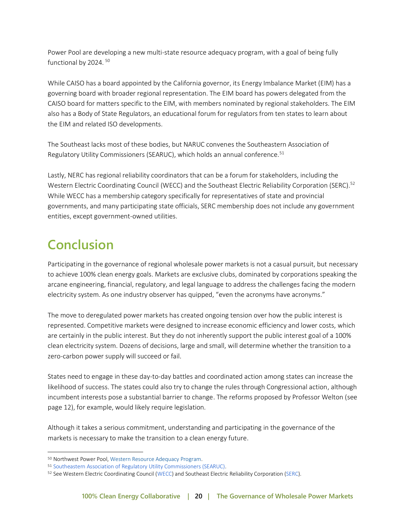Power Pool are developing a new multi-state resource adequacy program, with a goal of being fully functional by 2024.<sup>50</sup>

While CAISO has a board appointed by the California governor, its Energy Imbalance Market (EIM) has a [governing board](https://www.westerneim.com/Pages/Governance/default.aspx) with broader regional representation. The EIM board has powers delegated from the CAISO board for matters specific to the EIM, with members nominated by regional stakeholders. The EIM also has a Body of State Regulators, an educational forum for regulators from ten states to learn about the EIM and related ISO developments.

The Southeast lacks most of these bodies, but NARUC convenes the Southeastern Association of Regulatory Utility Commissioners (SEARUC), which holds an annual conference.<sup>51</sup>

Lastly, NERC has regional reliability coordinators that can be a forum for stakeholders, including the Western Electric Coordinating Council (WECC) and the Southeast Electric Reliability Corporation (SERC).<sup>52</sup> While WECC has a membership category specifically for representatives of state and provincial governments, and many participating state officials, SERC membership does not include any government entities, except government-owned utilities.

# <span id="page-19-0"></span>**Conclusion**

Participating in the governance of regional wholesale power markets is not a casual pursuit, but necessary to achieve 100% clean energy goals. Markets are exclusive clubs, dominated by corporations speaking the arcane engineering, financial, regulatory, and legal language to address the challenges facing the modern electricity system. As one industry observer has quipped, "even the acronyms have acronyms."

The move to deregulated power markets has created ongoing tension over how the public interest is represented. Competitive markets were designed to increase economic efficiency and lower costs, which are certainly in the public interest. But they do not inherently support the public interest goal of a 100% clean electricity system. Dozens of decisions, large and small, will determine whether the transition to a zero-carbon power supply will succeed or fail.

States need to engage in these day-to-day battles and coordinated action among states can increase the likelihood of success. The states could also try to change the rules through Congressional action, although incumbent interests pose a substantial barrier to change. The reforms proposed by Professor Welton (see page 12), for example, would likely require legislation.

Although it takes a serious commitment, understanding and participating in the governance of the markets is necessary to make the transition to a clean energy future.

<sup>50</sup> Northwest Power Pool[, Western Resource Adequacy Program.](https://www.nwpp.org/about/workgroups/12)

<sup>51</sup> [Southeastern Association of Regulatory Utility Commissioners \(SEARUC\).](http://searuc.org/)

<sup>52</sup> See Western Electric Coordinating Council [\(WECC\)](https://www.wecc.org/Pages/AboutWECC.aspx) and Southeast Electric Reliability Corporation [\(SERC\)](https://www.serc1.org/).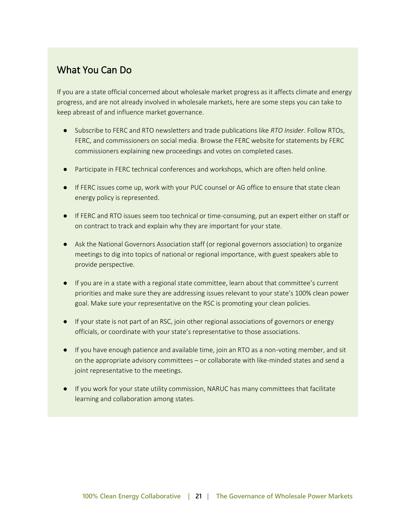#### <span id="page-20-0"></span>What You Can Do

If you are a state official concerned about wholesale market progress as it affects climate and energy progress, and are not already involved in wholesale markets, here are some steps you can take to keep abreast of and influence market governance.

- Subscribe to FERC and RTO newsletters and trade publications like *RTO Insider*. Follow RTOs, FERC, and commissioners on social media. Browse the FERC website for statements by FERC commissioners explaining new proceedings and votes on completed cases.
- Participate in FERC technical conferences and workshops, which are often held online.
- If FERC issues come up, work with your PUC counsel or AG office to ensure that state clean energy policy is represented.
- If FERC and RTO issues seem too technical or time-consuming, put an expert either on staff or on contract to track and explain why they are important for your state.
- Ask the National Governors Association staff (or regional governors association) to organize meetings to dig into topics of national or regional importance, with guest speakers able to provide perspective.
- If you are in a state with a regional state committee, learn about that committee's current priorities and make sure they are addressing issues relevant to your state's 100% clean power goal. Make sure your representative on the RSC is promoting your clean policies.
- If your state is not part of an RSC, join other regional associations of governors or energy officials, or coordinate with your state's representative to those associations.
- If you have enough patience and available time, join an RTO as a non-voting member, and sit on the appropriate advisory committees – or collaborate with like-minded states and send a joint representative to the meetings.
- If you work for your state utility commission, NARUC ha[s many committees](https://www.naruc.org/committees/committees-overview/) that facilitate learning and collaboration among states.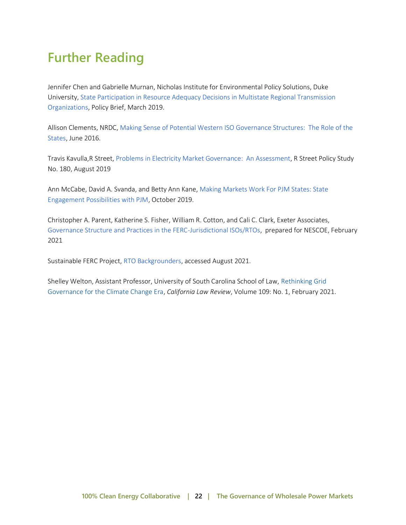# <span id="page-21-0"></span>**Further Reading**

Jennifer Chen and Gabrielle Murnan, Nicholas Institute for Environmental Policy Solutions, Duke University[, State Participation in Resource Adequacy Decisions in Multistate Regional Transmission](https://nicholasinstitute.duke.edu/sites/default/files/publications/print/state_participation_in_resource_adequacy_decisions_print.pdf)  [Organizations,](https://nicholasinstitute.duke.edu/sites/default/files/publications/print/state_participation_in_resource_adequacy_decisions_print.pdf) Policy Brief, March 2019.

Allison Clements, NRDC, [Making Sense of Potential Western ISO Governance Structures: The Role of the](https://www.nrdc.org/sites/default/files/potential-western-iso-governance-structures-ib.pdf)  [States,](https://www.nrdc.org/sites/default/files/potential-western-iso-governance-structures-ib.pdf) June 2016.

Travis Kavulla,R Street, Problems in [Electricity Market Governance: An Assessment,](https://www.rstreet.org/wp-content/uploads/2019/08/FINAL-RSTREET180.pdf) R Street Policy Study No. 180, August 2019

Ann McCabe, David A. Svanda, and Betty Ann Kane, [Making Markets Work For PJM States: State](https://opsi.us/wp-content/uploads/2019/10/Making-Markets-Work-for-PJM-States-10-14-19-1.pdf)  [Engagement Possibilities with PJM,](https://opsi.us/wp-content/uploads/2019/10/Making-Markets-Work-for-PJM-States-10-14-19-1.pdf) October 2019.

Christopher A. Parent, Katherine S. Fisher, William R. Cotton, and Cali C. Clark, Exeter Associates, [Governance Structure and Practices in the FERC-Jurisdictional ISOs/RTOs,](https://yq5v214uei4489eww27gbgsu-wpengine.netdna-ssl.com/wp-content/uploads/2021/02/ISO-RTOGovernanceStructureandPractices_19Feb2021.pdf) prepared for NESCOE, February 2021

Sustainable FERC Project[, RTO Backgrounders,](https://sustainableferc.org/rto-backgrounders-2/) accessed August 2021.

Shelley Welton, Assistant Professor, University of South Carolina School of Law, [Rethinking Grid](https://www.californialawreview.org/print/rethinking-grid-governance/)  [Governance for the Climate Change Era,](https://www.californialawreview.org/print/rethinking-grid-governance/) *California Law Review*, Volume 109: No. 1, February 2021.